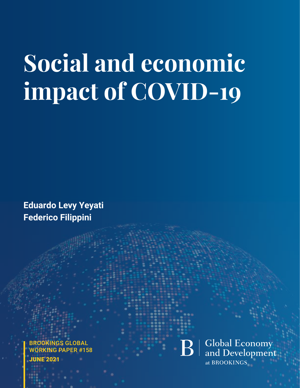# **Social and economic impact of COVID-19**

**Eduardo Levy Yeyati Federico Filippini**

BROOKINGS GLOBAL WORKING PAPER #158 **UNE 2021** 

**Global Economy**<br>and Development at BROOKINGS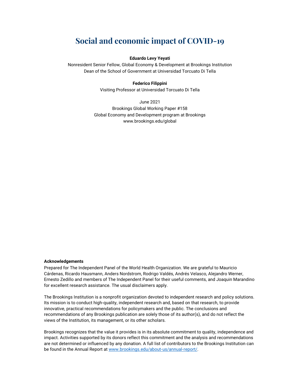# **Social and economic impact of COVID-19**

#### **Eduardo Levy Yeyati**

Nonresident Senior Fellow, Global Economy & Development at Brookings Institution Dean of the School of Government at Universidad Torcuato Di Tella

#### **Federico Filippini**

Visiting Professor at Universidad Torcuato Di Tella

June 2021 Brookings Global Working Paper #158 Global Economy and Development program at Brookings www.brookings.edu/global

#### **Acknowledgements**

Prepared for The Independent Panel of the World Health Organization. We are grateful to Mauricio Cárdenas, Ricardo Hausmann, Anders Nordstrom, Rodrigo Valdés, Andrés Velasco, Alejandro Werner, Ernesto Zedillo and members of The Independent Panel for their useful comments, and Joaquin Marandino for excellent research assistance. The usual disclaimers apply.

The Brookings Institution is a nonprofit organization devoted to independent research and policy solutions. Its mission is to conduct high-quality, independent research and, based on that research, to provide innovative, practical recommendations for policymakers and the public. The conclusions and recommendations of any Brookings publication are solely those of its author(s), and do not reflect the views of the Institution, its management, or its other scholars.

Brookings recognizes that the value it provides is in its absolute commitment to quality, independence and impact. Activities supported by its donors reflect this commitment and the analysis and recommendations are not determined or influenced by any donation. A full list of contributors to the Brookings Institution can be found in the Annual Report at [www.brookings.edu/about-us/annual-report/.](http://www.brookings.edu/about-us/annual-report/)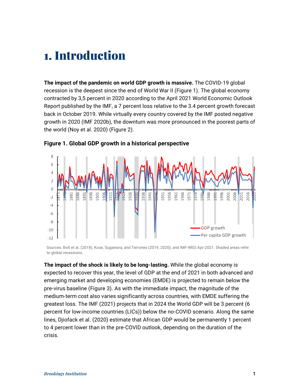# <span id="page-3-0"></span>1. Introduction

**The impact of the pandemic on world GDP growth is massive.** The COVID-19 global recession is the deepest since the end of World War II [\(Figure](#page-3-1) 1). The global economy contracted by 3,5 percent in 2020 according to the April 2021 World Economic Outlook Report published by the IMF, a 7 percent loss relative to the 3.4 percent growth forecast back in October 2019. While virtually every country covered by the IMF posted negative growth in 2020 (IMF 2020b), the downturn was more pronounced in the poorest parts of the world (Noy et al. 2020) [\(Figure](#page-4-0) 2).



#### <span id="page-3-1"></span>**Figure 1. Global GDP growth in a historical perspective**

Sources: Bolt et al. (2018), Kose, Sugawara, and Terrones (2019, 2020), and IMF-WEO Apr-2021. Shaded areas refer to global recessions.

**The impact of the shock is likely to be long-lasting.** While the global economy is expected to recover this year, the level of GDP at the end of 2021 in both advanced and emerging market and developing economies (EMDE) is projected to remain below the pre-virus baseline [\(Figure 3\)](#page-4-1). As with the immediate impact, the magnitude of the medium-term cost also varies significantly across countries, with EMDE suffering the greatest loss. The IMF (2021) projects that in 2024 the World GDP will be 3 percent (6 percent for low-income countries (LICs)) below the no-COVID scenario. Along the same lines, Djiofack et al. (2020) estimate that African GDP would be permanently 1 percent to 4 percent lower than in the pre-COVID outlook, depending on the duration of the crisis.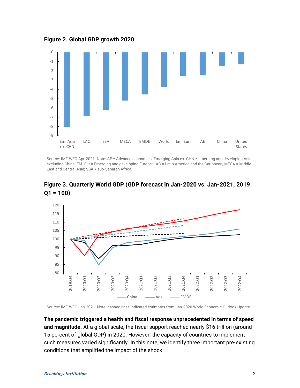<span id="page-4-0"></span>**Figure 2. Global GDP growth 2020**



Source: IMF-WEO Apr-2021. Note: AE = Advance economies; Emerging Asia ex. CHN = emerging and developing Asia excluding China; EM. Eur = Emerging and developing Europe; LAC = Latin America and the Caribbean; MECA = Middle East and Central Asia; SSA = sub-Saharan Africa.



<span id="page-4-1"></span>**Figure 3. Quarterly World GDP (GDP forecast in Jan-2020 vs. Jan-2021, 2019 Q1 = 100)**

Source: IMF-WEO Jan-2021. Note: dashed lines indicated estimates from Jan-2020 World Economic Outlook Update.

**The pandemic triggered a health and fiscal response unprecedented in terms of speed and magnitude.** At a global scale, the fiscal support reached nearly \$16 trillion (around 15 percent of global GDP) in 2020. However, the capacity of countries to implement such measures varied significantly. In this note, we identify three important pre-existing conditions that amplified the impact of the shock: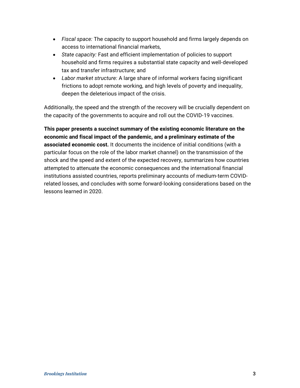- *Fiscal space:* The capacity to support household and firms largely depends on access to international financial markets,
- *State capacity:* Fast and efficient implementation of policies to support household and firms requires a substantial state capacity and well-developed tax and transfer infrastructure; and
- *Labor market structure:* A large share of informal workers facing significant frictions to adopt remote working, and high levels of poverty and inequality, deepen the deleterious impact of the crisis.

Additionally, the speed and the strength of the recovery will be crucially dependent on the capacity of the governments to acquire and roll out the COVID-19 vaccines.

**This paper presents a succinct summary of the existing economic literature on the economic and fiscal impact of the pandemic, and a preliminary estimate of the associated economic cost.** It documents the incidence of initial conditions (with a particular focus on the role of the labor market channel) on the transmission of the shock and the speed and extent of the expected recovery, summarizes how countries attempted to attenuate the economic consequences and the international financial institutions assisted countries, reports preliminary accounts of medium-term COVIDrelated losses, and concludes with some forward-looking considerations based on the lessons learned in 2020.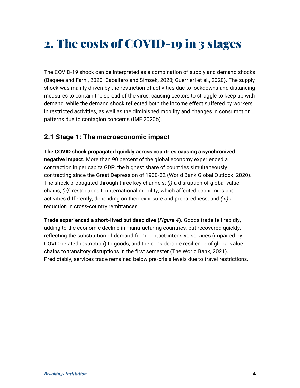# <span id="page-6-0"></span>2. The costs of COVID-19 in 3 stages

The COVID-19 shock can be interpreted as a combination of supply and demand shocks (Baqaee and Farhi, 2020; Caballero and Simsek, 2020; Guerrieri et al., 2020). The supply shock was mainly driven by the restriction of activities due to lockdowns and distancing measures to contain the spread of the virus, causing sectors to struggle to keep up with demand, while the demand shock reflected both the income effect suffered by workers in restricted activities, as well as the diminished mobility and changes in consumption patterns due to contagion concerns (IMF 2020b).

### <span id="page-6-1"></span>**2.1 Stage 1: The macroeconomic impact**

**The COVID shock propagated quickly across countries causing a synchronized negative impact.** More than 90 percent of the global economy experienced a contraction in per capita GDP, the highest share of countries simultaneously contracting since the Great Depression of 1930-32 (World Bank Global Outlook, 2020). The shock propagated through three key channels: *(i)* a disruption of global value chains, *(ii)`* restrictions to international mobility, which affected economies and activities differently, depending on their exposure and preparedness; and *(iii)* a reduction in cross-country remittances.

**Trade experienced a short-lived but deep dive (***[Figure 4](#page-7-0)***).** Goods trade fell rapidly, adding to the economic decline in manufacturing countries, but recovered quickly, reflecting the substitution of demand from contact-intensive services (impaired by COVID-related restriction) to goods, and the considerable resilience of global value chains to transitory disruptions in the first semester (The World Bank, 2021). Predictably, services trade remained below pre-crisis levels due to travel restrictions.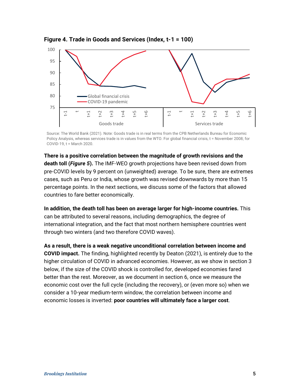

<span id="page-7-0"></span>**Figure 4. Trade in Goods and Services (Index, t-1 = 100)**

Source: The World Bank (2021). Note: Goods trade is in real terms from the CPB Netherlands Bureau for Economic Policy Analysis, whereas services trade is in values from the WTO. For global financial crisis, t = November 2008; for COVID-19, t = March 2020.

**There is a positive correlation between the magnitude of growth revisions and the death toll (***[Figure 5](#page-8-0)***).** The IMF-WEO growth projections have been revised down from pre-COVID levels by 9 percent on (unweighted) average. To be sure, there are extremes cases, such as Peru or India, whose growth was revised downwards by more than 15 percentage points. In the next sections, we discuss some of the factors that allowed countries to fare better economically.

**In addition, the death toll has been on average larger for high-income countries.** This can be attributed to several reasons, including demographics, the degree of international integration, and the fact that most northern hemisphere countries went through two winters (and two therefore COVID waves).

**As a result, there is a weak negative unconditional correlation between income and COVID impact.** The finding, highlighted recently by Deaton (2021), is entirely due to the higher circulation of COVID in advanced economies. However, as we show in section 3 below, if the size of the COVID shock is controlled for, developed economies fared better than the rest. Moreover, as we document in section 6, once we measure the economic cost over the full cycle (including the recovery), or (even more so) when we consider a 10-year medium-term window, the correlation between income and economic losses is inverted: **poor countries will ultimately face a larger cost**.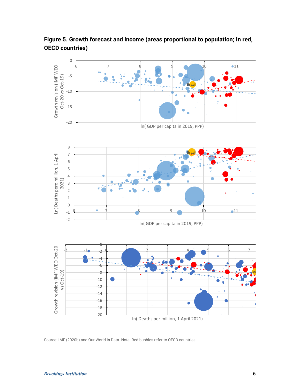

<span id="page-8-0"></span>**Figure 5. Growth forecast and income (areas proportional to population; in red, OECD countries)**

Source: IMF (2020b) and Our World in Data. Note: Red bubbles refer to OECD countries.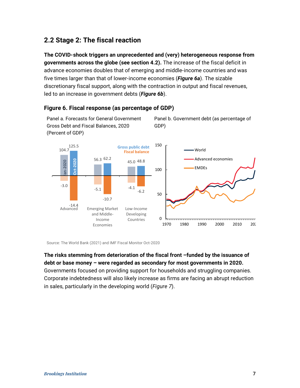# <span id="page-9-0"></span>**2.2 Stage 2: The fiscal reaction**

Panel a. Forecasts for General Government Gross Debt and Fiscal Balances, 2020

**The COVID-shock triggers an unprecedented and (very) heterogeneous response from governments across the globe (see section 4.2).** The increase of the fiscal deficit in advance economies doubles that of emerging and middle-income countries and was five times larger than that of lower-income economies (*[Figure 6a](#page-9-1)*). The sizable discretionary fiscal support, along with the contraction in output and fiscal revenues, led to an increase in government debts (*[Figure 6b](#page-9-1)*).

Panel b. Government debt (as percentage of



GDP)

#### <span id="page-9-1"></span>**Figure 6. Fiscal response (as percentage of GDP)**

Source: The World Bank (2021) and IMF Fiscal Monitor Oct-2020

#### **The risks stemming from deterioration of the fiscal front –funded by the issuance of debt or base money – were regarded as secondary for most governments in 2020.**

Governments focused on providing support for households and struggling companies. Corporate indebtedness will also likely increase as firms are facing an abrupt reduction in sales, particularly in the developing world (*[Figure 7](#page-10-0)*).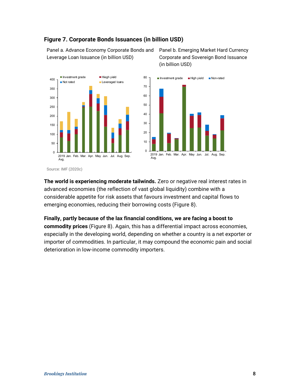<span id="page-10-0"></span>

Panel a. Advance Economy Corporate Bonds and  Leverage Loan Issuance (in billion USD)

Panel b. Emerging Market Hard Currency Corporate and Sovereign Bond Issuance (in billion USD) 





Source: IMF (2020c)

**The world is experiencing moderate tailwinds.** Zero or negative real interest rates in  advanced economies (the reflection of vast global liquidity) combine with a considerable appetite for risk assets that favours investment and capital flows to emerging economies, reducing their borrowing costs [\(Figure 8\)](#page-11-1).

**Finally, partly because of the lax financial conditions, we are facing a boost to commodity prices** [\(Figure 8\)](#page-11-1). Again, this has a differential impact across economies, especially in the developing world, depending on whether a country is a net exporter or importer of commodities. In particular, it may compound the economic pain and social deterioration in low-income commodity importers.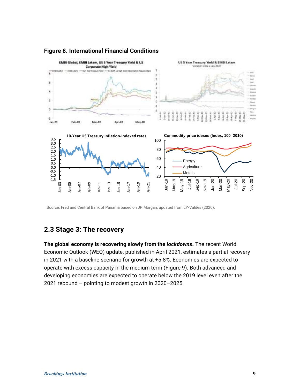

#### <span id="page-11-1"></span>**Figure 8. International Financial Conditions**

Source: Fred and Central Bank of Panamá based on JP Morgan, updated from LY-Valdés (2020).

### <span id="page-11-0"></span>**2.3 Stage 3: The recovery**

**The global economy is recovering slowly from the** *lockdowns***.** The recent World Economic Outlook (WEO) update, published in April 2021, estimates a partial recovery in 2021 with a baseline scenario for growth at +5.8%. Economies are expected to operate with excess capacity in the medium term [\(Figure 9\)](#page-12-0). Both advanced and developing economies are expected to operate below the 2019 level even after the 2021 rebound – pointing to modest growth in 2020–2025.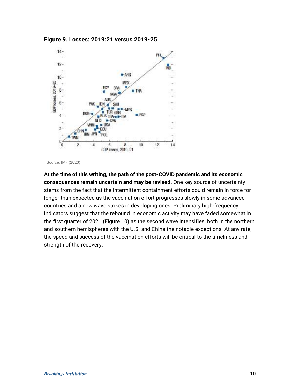<span id="page-12-0"></span>



Source: IMF (2020)

**At the time of this writing, the path of the post-COVID pandemic and its economic consequences remain uncertain and may be revised.** One key source of uncertainty stems from the fact that the intermittent containment efforts could remain in force for longer than expected as the vaccination effort progresses slowly in some advanced countries and a new wave strikes in developing ones. Preliminary high-frequency indicators suggest that the rebound in economic activity may have faded somewhat in the first quarter of 2021 **(**[Figure 10](#page-13-0)**)** as the second wave intensifies, both in the northern and southern hemispheres with the U.S. and China the notable exceptions. At any rate, the speed and success of the vaccination efforts will be critical to the timeliness and strength of the recovery.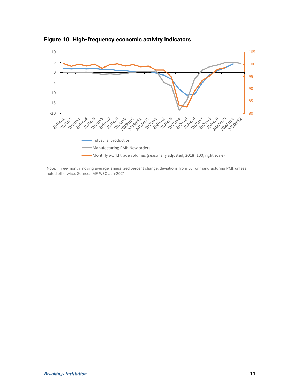

<span id="page-13-0"></span>**Figure 10. High-frequency economic activity indicators**

Note: Three-month moving average, annualized percent change; deviations from 50 for manufacturing PMI, unless noted otherwise. Source: IMF WEO Jan-2021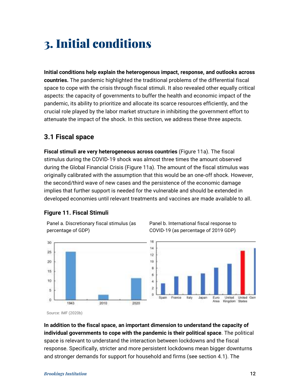# <span id="page-14-0"></span>3. Initial conditions

**Initial conditions help explain the heterogenous impact, response, and outlooks across countries.** The pandemic highlighted the traditional problems of the differential fiscal space to cope with the crisis through fiscal stimuli. It also revealed other equally critical aspects: the capacity of governments to buffer the health and economic impact of the pandemic, its ability to prioritize and allocate its scarce resources efficiently, and the crucial role played by the labor market structure in inhibiting the government effort to attenuate the impact of the shock. In this section, we address these three aspects.

### <span id="page-14-1"></span>**3.1 Fiscal space**

**Fiscal stimuli are very heterogeneous across countries** [\(Figure 11a](#page-14-2)). The fiscal stimulus during the COVID-19 shock was almost three times the amount observed during the Global Financial Crisis [\(Figure 11a](#page-14-2)). The amount of the fiscal stimulus was originally calibrated with the assumption that this would be an one-off shock. However, the second/third wave of new cases and the persistence of the economic damage implies that further support is needed for the vulnerable and should be extended in developed economies until relevant treatments and vaccines are made available to all.

#### <span id="page-14-2"></span>**Figure 11. Fiscal Stimuli**

Panel a. Discretionary fiscal stimulus (as percentage of GDP)



Panel b. International fiscal response to COVID-19 (as percentage of 2019 GDP)

Source: IMF (2020b)

30

25

 $20 - 20$ 

 $15$ 

10

5

0

**In addition to the fiscal space, an important dimension to understand the capacity of individual governments to cope with the pandemic is their political space**. The political space is relevant to understand the interaction between lockdowns and the fiscal response. Specifically, stricter and more persistent lockdowns mean bigger downturns and stronger demands for support for household and firms (see section 4.1). The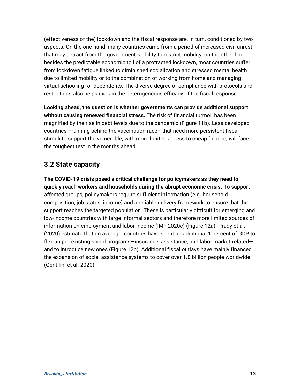(effectiveness of the) lockdown and the fiscal response are, in turn, conditioned by two aspects. On the one hand, many countries came from a period of increased civil unrest that may detract from the government´s ability to restrict mobility; on the other hand, besides the predictable economic toll of a protracted lockdown, most countries suffer from lockdown fatigue linked to diminished socialization and stressed mental health due to limited mobility or to the combination of working from home and managing virtual schooling for dependents. The diverse degree of compliance with protocols and restrictions also helps explain the heterogeneous efficacy of the fiscal response.

**Looking ahead, the question is whether governments can provide additional support without causing renewed financial stress.** The risk of financial turmoil has been magnified by the rise in debt levels due to the pandemic [\(Figure 11b](#page-14-2)). Less developed countries –running behind the vaccination race– that need more persistent fiscal stimuli to support the vulnerable, with more limited access to cheap finance, will face the toughest test in the months ahead.

### <span id="page-15-0"></span>**3.2 State capacity**

<span id="page-15-1"></span>**The COVID-19 crisis posed a critical challenge for policymakers as they need to quickly reach workers and households during the abrupt economic crisis.** To support affected groups, policymakers require sufficient information (e.g. household composition, job status, income) and a reliable delivery framework to ensure that the support reaches the targeted population. These is particularly difficult for emerging and low-income countries with large informal sectors and therefore more limited sources of information on employment and labor income (IMF 2020e) [\(Figure 12a](#page-15-1)). Prady et al. (2020) estimate that on average, countries have spent an additional 1 percent of GDP to flex up pre-existing social programs—insurance, assistance, and labor market-related and to introduce new ones [\(Figure 12b](#page-15-1)). Additional fiscal outlays have mainly financed the expansion of social assistance systems to cover over 1.8 billion people worldwide (Gentilini et al. 2020).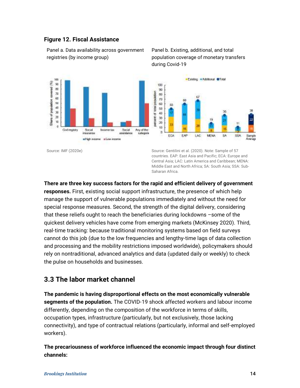#### **Figure 12. Fiscal Assistance**

Panel a. Data availability across government registries (by income group)



#### Panel b. Existing, additional, and total population coverage of monetary transfers during Covid-19



Source: IMF (2020e) Source: Gentilini et al. (2020). Note: Sample of 57 countries. EAP: East Asia and Pacific; ECA: Europe and Central Asia; LAC: Latin America and Caribbean; MENA: Middle East and North Africa; SA: South Asia; SSA: Sub-Saharan Africa.

**There are three key success factors for the rapid and efficient delivery of government responses.** First, existing social support infrastructure, the presence of which help manage the support of vulnerable populations immediately and without the need for special response measures. Second, the strength of the digital delivery, considering that these reliefs ought to reach the beneficiaries during lockdowns –some of the quickest delivery vehicles have come from emerging markets (McKinsey 2020). Third, real-time tracking: because traditional monitoring systems based on field surveys cannot do this job (due to the low frequencies and lengthy-time lags of data collection and processing and the mobility restrictions imposed worldwide), policymakers should rely on nontraditional, advanced analytics and data (updated daily or weekly) to check the pulse on households and businesses.

### <span id="page-16-0"></span>**3.3 The labor market channel**

**The pandemic is having disproportional effects on the most economically vulnerable segments of the population.** The COVID-19 shock affected workers and labour income differently, depending on the composition of the workforce in terms of skills, occupation types, infrastructure (particularly, but not exclusively, those lacking connectivity), and type of contractual relations (particularly, informal and self-employed workers).

**The precariousness of workforce influenced the economic impact through four distinct channels:**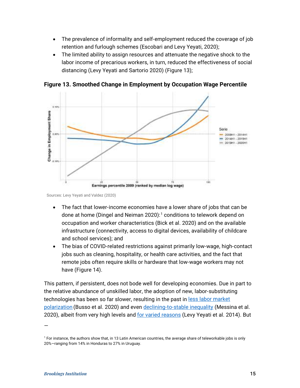- The prevalence of informality and self-employment reduced the coverage of job retention and furlough schemes (Escobari and Levy Yeyati, 2020);
- The limited ability to assign resources and attenuate the negative shock to the labor income of precarious workers, in turn, reduced the effectiveness of social distancing (Levy Yeyati and Sartorio 2020) [\(Figure 13\)](#page-17-0);



<span id="page-17-0"></span>**Figure 13. Smoothed Change in Employment by Occupation Wage Percentile**

Sources: Levy Yeyati and Valdez (2020)

- The fact that lower-income economies have a lower share of jobs that can be done at home (Dingel and Neiman 2020):<sup>[1](#page-17-1)</sup> conditions to telework depend on occupation and worker characteristics (Bick et al. 2020) and on the available infrastructure (connectivity, access to digital devices, availability of childcare and school services); and
- The bias of COVID-related restrictions against primarily low-wage, high-contact jobs such as cleaning, hospitality, or health care activities, and the fact that remote jobs often require skills or hardware that low-wage workers may not have [\(Figure 14\)](#page-18-1).

This pattern, if persistent, does not bode well for developing economies. Due in part to the relative abundance of unskilled labor, the adoption of new, labor-substituting technologies has been so far slower, resulting in the past in less labor market [polarization](https://publications.iadb.org/publications/english/document/The-Inequality-Crisis-Latin-America-and-the-Caribbean-at-the-Crossroads.pdf) (Busso et al. 2020) and even [declining-to-stable inequality](https://publications.iadb.org/publications/english/document/Twenty_Years_of_Wage_Inequality_in_Latin_America_en_en.pdf) (Messina et al. 2020), albeit from very high levels and [for varied reasons](https://voxeu.org/article/wage-compression-and-falling-latin-american-inequality) (Levy Yeyati et al. 2014). But

—

<span id="page-17-1"></span><sup>&</sup>lt;sup>1</sup> For instance, the authors show that, in 13 Latin American countries, the average share of teleworkable jobs is only 20%—ranging from 14% in Honduras to 27% in Uruguay.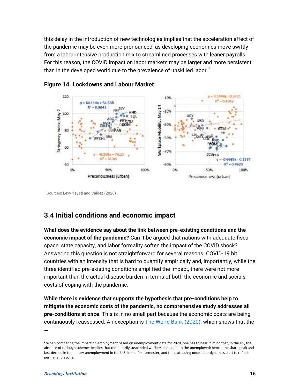this delay in the introduction of new technologies implies that the acceleration effect of the pandemic may be even more pronounced, as developing economies move swiftly from a labor-intensive production mix to streamlined processes with leaner payrolls. For this reason, the COVID impact on labor markets may be larger and more persistent than in the developed world due to the prevalence of unskilled labor. $2$ 



#### <span id="page-18-1"></span>**Figure 14. Lockdowns and Labour Market**

Sources: Levy Yeyati and Valdez (2020)

# <span id="page-18-0"></span>**3.4 Initial conditions and economic impact**

**What does the evidence say about the link between pre-existing conditions and the economic impact of the pandemic?** Can it be argued that nations with adequate fiscal space, state capacity, and labor formality soften the impact of the COVID shock? Answering this question is not straightforward for several reasons. COVID-19 hit countries with an intensity that is hard to quantify empirically and, importantly, while the three identified pre-existing conditions amplified the impact, there were not more important than the actual disease burden in terms of both the economic and socials costs of coping with the pandemic.

**While there is evidence that supports the hypothesis that pre-conditions help to mitigate the economic costs of the pandemic, no comprehensive study addresses all pre-conditions at once**. This is in no small part because the economic costs are being continuously reassessed. An exception is The World Bank (2020), which shows that the

—

<span id="page-18-2"></span><sup>&</sup>lt;sup>2</sup> When comparing the impact on employment based on unemployment data for 2020, one has to bear in mind that, in the US, the absence of furlough schemes implies that temporarily suspended workers are added to the unemployed; hence, the sharp peak and fast decline in temporary unemployment in the U.S. in the first semester, and the plateauing once labor dynamics start to reflect permanent layoffs.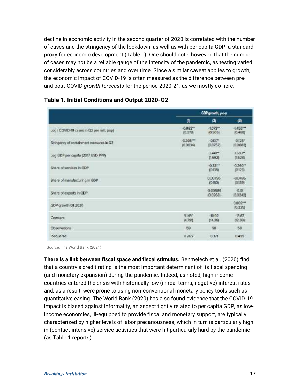decline in economic activity in the second quarter of 2020 is correlated with the number of cases and the stringency of the lockdown, as well as with per capita GDP, a standard proxy for economic development [\(Table 1\)](#page-37-0). One should note, however, that the number of cases may not be a reliable gauge of the intensity of the pandemic, as testing varied considerably across countries and over time. Since a similar caveat applies to growth, the economic impact of COVID-19 is often measured as the difference between preand post-COVID *growth forecasts* for the period 2020-21, as we mostly do here.

|                                           | GDP growth, y-a-y       |                        |                                               |
|-------------------------------------------|-------------------------|------------------------|-----------------------------------------------|
|                                           | 曲                       | $\mathbf{z}$           | n,                                            |
| Log   COVID-19 cases in Q2 per milt. pop) | $-0.982**$<br>(0.378)   | $-1.073"$<br>(0.505)   | $-1.455***$<br>KI.45B)                        |
| Stringency of containment measures in Q2  | $-0.205***$<br>(0.0634) | $-0.137$<br>(0.0757)   | $-0.125*$<br>(0.0683)                         |
| Log GDP per capita (2017 USD PPP)         |                         | 3.441'''<br>(1.69.2)   | 3.693**<br>(1.528)                            |
| Share of services in GDP                  |                         | $-0.331"$<br>(0.135)   | $-0.260$ <sup><math>+</math></sup><br>(0.123) |
| Share of manufacturing in GDP             |                         | 0.00796<br>(0.153)     | $-0.0496$<br>10.1391                          |
| Share of exports in GDP                   |                         | $-0.00589$<br>(0.0268) | $-0.01$<br>(0.0242)                           |
| GDP growth Q1 2020                        |                         |                        | $0.802***$<br> 0.226                          |
| Constant                                  | $9149^*$<br>(4.79%)     | $-10.02$<br>(14.36)    | $-1367$<br>(12.99)                            |
| <b>Observations</b>                       | 59                      | 58                     | <b>BB</b>                                     |
| R-squared                                 | 0.265                   | 0.371                  | 0.499                                         |

#### **Table 1. Initial Conditions and Output 2020-Q2**

Source: The World Bank (2021)

**There is a link between fiscal space and fiscal stimulus.** Benmelech et al. (2020) find that a country's credit rating is the most important determinant of its fiscal spending (and monetary expansion) during the pandemic. Indeed, as noted, high-income countries entered the crisis with historically low (in real terms, negative) interest rates and, as a result, were prone to using non-conventional monetary policy tools such as quantitative easing. The World Bank (2020) has also found evidence that the COVID-19 impact is biased against informality, an aspect tightly related to per capita GDP, as lowincome economies, ill-equipped to provide fiscal and monetary support, are typically characterized by higher levels of labor precariousness, which in turn is particularly high in (contact-intensive) service activities that were hit particularly hard by the pandemic (as [Table 1](#page-37-0) reports).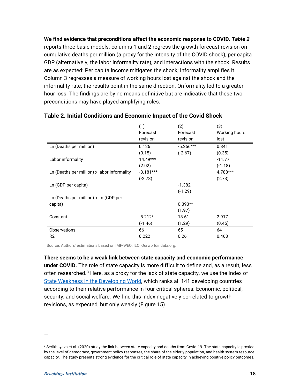**We find evidence that preconditions affect the economic response to COVID.** *[Table 2](#page-20-0)* reports three basic models: columns 1 and 2 regress the growth forecast revision on cumulative deaths per million (a proxy for the intensity of the COVID shock), per capita GDP (alternatively, the labor informality rate), and interactions with the shock. Results are as expected: Per capita income mitigates the shock; informality amplifies it. Column 3 regresses a measure of working hours lost against the shock and the informality rate; the results point in the same direction: Onformality led to a greater hour loss. The findings are by no means definitive but are indicative that these two preconditions may have played amplifying roles.

|                                             | (1)         | (2)         | (3)           |
|---------------------------------------------|-------------|-------------|---------------|
|                                             | Forecast    | Forecast    | Working hours |
|                                             | revision    | revision    | lost          |
| Ln (Deaths per million)                     | 0.126       | $-5.266***$ | 0.341         |
|                                             | (0.15)      | $(-2.67)$   | (0.35)        |
| Labor informality                           | $14.49***$  |             | $-11.77$      |
|                                             | (2.02)      |             | $(-1.18)$     |
| Ln (Deaths per million) x labor informality | $-3.181***$ |             | 4.788***      |
|                                             | $(-2.73)$   |             | (2.73)        |
| Ln (GDP per capita)                         |             | $-1.382$    |               |
|                                             |             | $(-1.29)$   |               |
| Ln (Deaths per million) x Ln (GDP per       |             |             |               |
| capita)                                     |             | $0.393**$   |               |
|                                             |             | (1.97)      |               |
| Constant                                    | $-8.212*$   | 13.61       | 2.917         |
|                                             | $(-1.46)$   | (1.29)      | (0.45)        |
| <b>Observations</b>                         | 66          | 65          | 64            |
| R <sub>2</sub>                              | 0.222       | 0.261       | 0.463         |

#### <span id="page-20-0"></span>**Table 2. Initial Conditions and Economic Impact of the Covid Shock**

Source: Authors' estimations based on IMF-WEO, ILO, Ourworldindata.org.

**There seems to be a weak link between state capacity and economic performance under COVID.** The role of state capacity is more difficult to define and, as a result, less often researched.<sup>[3](#page-20-1)</sup> Here, as a proxy for the lack of state capacity, we use the Index of [State Weakness in the Developing World,](https://www.brookings.edu/wp-content/uploads/2016/06/02_weak_states_index.pdf) which ranks all 141 developing countries according to their relative performance in four critical spheres: Economic, political, security, and social welfare. We find this index negatively correlated to growth revisions, as expected, but only weakly [\(Figure 15\)](#page-21-0).

—

<span id="page-20-1"></span><sup>&</sup>lt;sup>3</sup> Serikbayeva et al. (2020) study the link between state capacity and deaths from Covid-19. The state capacity is proxied by the level of democracy, government policy responses, the share of the elderly population, and health system resource capacity. The study presents strong evidence for the critical role of state capacity in achieving positive policy outcomes.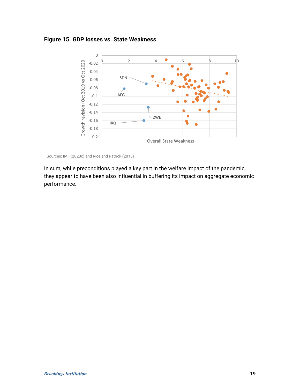#### <span id="page-21-0"></span>**Figure 15. GDP losses vs. State Weakness**



Sources: IMF (2020c) and Rice and Patrick (2016)

In sum, while preconditions played a key part in the welfare impact of the pandemic, they appear to have been also influential in buffering its impact on aggregate economic performance.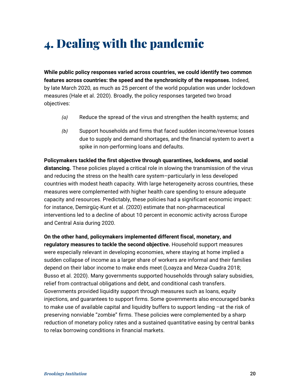# <span id="page-22-0"></span>4. Dealing with the pandemic

**While public policy responses varied across countries, we could identify two common features across countries: the speed and the synchronicity of the responses.** Indeed, by late March 2020, as much as 25 percent of the world population was under lockdown measures (Hale et al. 2020). Broadly, the policy responses targeted two broad objectives:

- *(a)* Reduce the spread of the virus and strengthen the health systems; and
- *(b)* Support households and firms that faced sudden income/revenue losses due to supply and demand shortages, and the financial system to avert a spike in non-performing loans and defaults.

**Policymakers tackled the first objective through quarantines, lockdowns, and social distancing.** These policies played a critical role in slowing the transmission of the virus and reducing the stress on the health care system–particularly in less developed countries with modest heath capacity. With large heterogeneity across countries, these measures were complemented with higher health care spending to ensure adequate capacity and resources. Predictably, these policies had a significant economic impact: for instance, Demirgüç-Kunt et al. (2020) estimate that non-pharmaceutical interventions led to a decline of about 10 percent in economic activity across Europe and Central Asia during 2020.

**On the other hand, policymakers implemented different fiscal, monetary, and regulatory measures to tackle the second objective.** Household support measures were especially relevant in developing economies, where staying at home implied a sudden collapse of income as a larger share of workers are informal and their families depend on their labor income to make ends meet (Loayza and Meza-Cuadra 2018; Busso et al. 2020). Many governments supported households through salary subsidies, relief from contractual obligations and debt, and conditional cash transfers. Governments provided liquidity support through measures such as loans, equity injections, and guarantees to support firms. Some governments also encouraged banks to make use of available capital and liquidity buffers to support lending –at the risk of preserving nonviable "zombie" firms. These policies were complemented by a sharp reduction of monetary policy rates and a sustained quantitative easing by central banks to relax borrowing conditions in financial markets.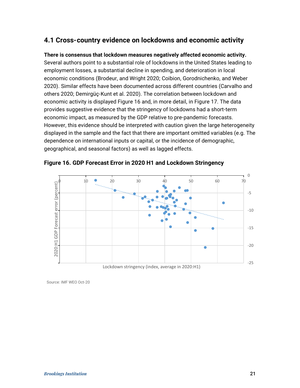## <span id="page-23-0"></span>**4.1 Cross-country evidence on lockdowns and economic activity**

**There is consensus that lockdown measures negatively affected economic activity.** Several authors point to a substantial role of lockdowns in the United States leading to employment losses, a substantial decline in spending, and deterioration in local economic conditions (Brodeur, and Wright 2020; Coibion, Gorodnichenko, and Weber 2020). Similar effects have been documented across different countries (Carvalho and others 2020; Demirgüç-Kunt et al. 2020). The correlation between lockdown and economic activity is displayed [Figure 16](#page-23-1) and, in more detail, in [Figure 17.](#page-24-0) The data provides suggestive evidence that the stringency of lockdowns had a short-term economic impact, as measured by the GDP relative to pre-pandemic forecasts. However, this evidence should be interpreted with caution given the large heterogeneity displayed in the sample and the fact that there are important omitted variables (e.g. The dependence on international inputs or capital, or the incidence of demographic, geographical, and seasonal factors) as well as lagged effects.



<span id="page-23-1"></span>**Figure 16. GDP Forecast Error in 2020 H1 and Lockdown Stringency**

Source: IMF WEO Oct-20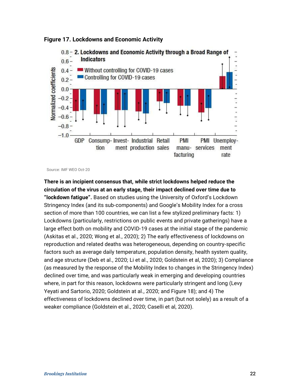

<span id="page-24-0"></span>

Source: IMF WEO Oct-20

**There is an incipient consensus that, while strict lockdowns helped reduce the circulation of the virus at an early stage, their impact declined over time due to "lockdown fatigue".** Based on studies using the University of Oxford's Lockdown Stringency Index (and its sub-components) and Google's Mobility Index for a cross section of more than 100 countries, we can list a few stylized preliminary facts: 1) Lockdowns (particularly, restrictions on public events and private gatherings) have a large effect both on mobility and COVID-19 cases at the initial stage of the pandemic (Askitas et al., 2020; Wong et al., 2020); 2) The early effectiveness of lockdowns on reproduction and related deaths was heterogeneous, depending on country-specific factors such as average daily temperature, population density, health system quality, and age structure (Deb et al., 2020; Li et al., 2020; Goldstein et al, 2020); 3) Compliance (as measured by the response of the Mobility Index to changes in the Stringency Index) declined over time, and was particularly weak in emerging and developing countries where, in part for this reason, lockdowns were particularly stringent and long (Levy Yeyati and Sartorio, 2020; Goldstein at al., 2020; and [Figure 18\)](#page-25-0); and 4) The effectiveness of lockdowns declined over time, in part (but not solely) as a result of a weaker compliance (Goldstein et al., 2020; Caselli et al, 2020).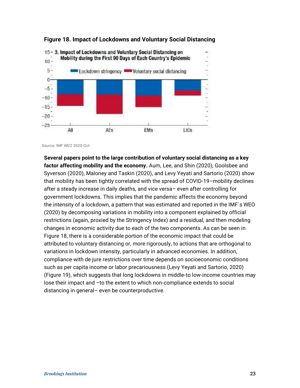

#### <span id="page-25-0"></span>**Figure 18. Impact of Lockdowns and Voluntary Social Distancing**

Source: IMF WEO 2020-Oct

**Several papers point to the large contribution of voluntary social distancing as a key factor affecting mobility and the economy.** Aum, Lee, and Shin (2020), Goolsbee and Syverson (2020), Maloney and Taskin (2020), and Levy Yeyati and Sartorio (2020) show that mobility has been tightly correlated with the spread of COVID-19–mobility declines after a steady increase in daily deaths, and vice versa– even after controlling for government lockdowns. This implies that the pandemic affects the economy beyond the intensity of a lockdown, a pattern that was estimated and reported in the IMF´s WEO (2020) by decomposing variations in mobility into a component explained by official restrictions (again, proxied by the Stringency Index) and a residual, and then modeling changes in economic activity due to each of the two components. As can be seen in [Figure 18,](#page-25-0) there is a considerable portion of the economic impact that could be attributed to voluntary distancing or, more rigorously, to actions that are orthogonal to variations in lockdown intensity, particularly in advanced economies. In addition, compliance with de jure restrictions over time depends on socioeconomic conditions such as per capita income or labor precariousness (Levy Yeyati and Sartorio, 2020) [\(Figure 19\)](#page-26-1), which suggests that long lockdowns in middle-to low-income countries may lose their impact and –to the extent to which non-compliance extends to social distancing in general– even be counterproductive.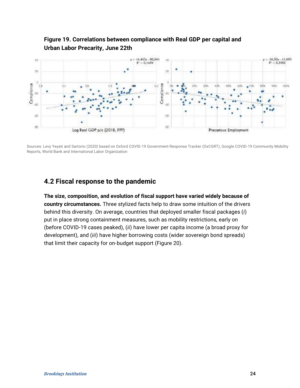

### <span id="page-26-1"></span>**Figure 19. Correlations between compliance with Real GDP per capital and Urban Labor Precarity, June 22th**

Sources: Levy Yeyati and Sartorio (2020) based on Oxford COVID-19 Government Response Tracker (OxCGRT), Google COVID-19 Community Mobility Reports, World Bank and International Labor Organization

## <span id="page-26-0"></span>**4.2 Fiscal response to the pandemic**

**The size, composition, and evolution of fiscal support have varied widely because of country circumstances.** Three stylized facts help to draw some intuition of the drivers behind this diversity. On average, countries that deployed smaller fiscal packages (*i*) put in place strong containment measures, such as mobility restrictions, early on (before COVID-19 cases peaked), (*ii*) have lower per capita income (a broad proxy for development), and (*iii*) have higher borrowing costs (wider sovereign bond spreads) that limit their capacity for on-budget support (Figure 20).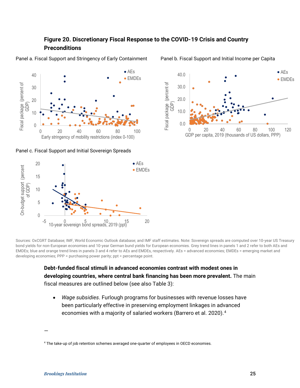### **Figure 20. Discretionary Fiscal Response to the COVID-19 Crisis and Country Preconditions**



Panel a. Fiscal Support and Stringency of Early Containment Panel b. Fiscal Support and Initial Income per Capita

Panel c. Fiscal Support and Initial Sovereign Spreads





Sources: OxCGRT Database; IMF, World Economic Outlook database; and IMF staff estimates. Note: Sovereign spreads are computed over 10-year US Treasury bond yields for non-European economies and 10-year German bund yields for European economies. Grey trend lines in panels 1 and 2 refer to both AEs and EMDEs; blue and orange trend lines in panels 3 and 4 refer to AEs and EMDEs, respectively. AEs = advanced economies; EMDEs = emerging market and developing economies; PPP = purchasing power parity; ppt = percentage point.

> **Debt-funded fiscal stimuli in advanced economies contrast with modest ones in developing countries, where central bank financing has been more prevalent.** The main fiscal measures are outlined below (see also Table 3):

• *Wage subsidies*. Furlough programs for businesses with revenue losses have been particularly effective in preserving employment linkages in advanced economies with a majority of salaried workers (Barrero et al. 2020).<sup>[4](#page-27-0)</sup>

—

<span id="page-27-0"></span><sup>4</sup> The take-up of job retention schemes averaged one-quarter of employees in OECD economies.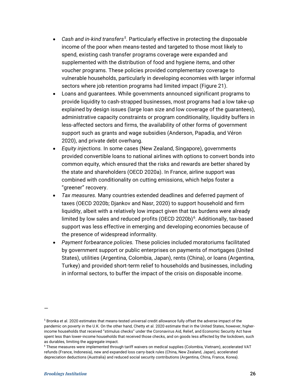- *Cash and in-kind transfers[5](#page-28-0)* . Particularly effective in protecting the disposable income of the poor when means-tested and targeted to those most likely to spend, existing cash transfer programs coverage were expanded and supplemented with the distribution of food and hygiene items, and other voucher programs. These policies provided complementary coverage to vulnerable households, particularly in developing economies with larger informal sectors where job retention programs had limited impact (Figure 21).
- Loans and guarantees. While governments announced significant programs to provide liquidity to cash-strapped businesses, most programs had a low take-up explained by design issues (large loan size and low coverage of the guarantees), administrative capacity constraints or program conditionality, liquidity buffers in less-affected sectors and firms, the availability of other forms of government support such as grants and wage subsidies (Anderson, Papadia, and Véron 2020), and private debt overhang.
- *Equity injections.* In some cases (New Zealand, Singapore), governments provided convertible loans to national airlines with options to convert bonds into common equity, which ensured that the risks and rewards are better shared by the state and shareholders (OECD 2020a). In France, airline support was combined with conditionality on cutting emissions, which helps foster a "greener" recovery.
- *Tax measures.* Many countries extended deadlines and deferred payment of taxes (OECD 2020b; Djankov and Nasr, 2020) to support household and firm liquidity, albeit with a relatively low impact given that tax burdens were already limited by low sales and reduced profits (OECD 2020b)<sup>6</sup>. Additionally, tax-based support was less effective in emerging and developing economies because of the presence of widespread informality.
- *Payment forbearance policies.* These policies included moratoriums facilitated by government support or public enterprises on payments of mortgages (United States), utilities (Argentina, Colombia, Japan), rents (China), or loans (Argentina, Turkey) and provided short-term relief to households and businesses, including in informal sectors, to buffer the impact of the crisis on disposable income.

—

<span id="page-28-0"></span> $5$  Bronka et al. 2020 estimates that means-tested universal credit allowance fully offset the adverse impact of the pandemic on poverty in the U.K. On the other hand, Chetty et al. 2020 estimate that in the United States, however, higherincome households that received "stimulus checks" under the Coronavirus Aid, Relief, and Economic Security Act have spent less than lower-income households that received those checks, and on goods less affected by the lockdown, such as durables, limiting the aggregate impact.

<span id="page-28-1"></span><sup>6</sup> These measures were implemented through tariff waivers on medical supplies (Colombia, Vietnam), accelerated VAT refunds (France, Indonesia), new and expanded loss carry-back rules (China, New Zealand, Japan), accelerated depreciation deductions (Australia) and reduced social security contributions (Argentina, China, France, Korea).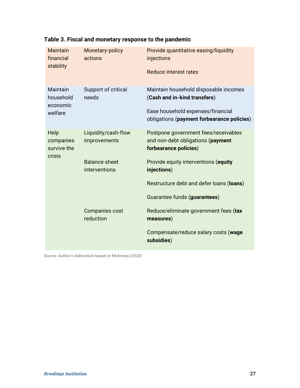| <b>Maintain</b><br>financial<br>stability    | Monetary-policy<br>actions            | Provide quantitative easing/liquidity<br>injections<br>Reduce interest rates                                                                             |
|----------------------------------------------|---------------------------------------|----------------------------------------------------------------------------------------------------------------------------------------------------------|
| Maintain<br>household<br>economic<br>welfare | Support of critical<br>needs          | Maintain household disposable incomes<br>(Cash and in-kind transfers)<br>Ease household expenses/financial<br>obligations (payment forbearance policies) |
| Help<br>companies<br>survive the<br>crisis   | Liquidity/cash-flow<br>improvements   | Postpone government fees/receivables<br>and non-debt obligations (payment<br>forbearance policies)                                                       |
|                                              | <b>Balance-sheet</b><br>interventions | Provide equity interventions (equity<br>injections)                                                                                                      |
|                                              |                                       | Restructure debt and defer loans (loans)                                                                                                                 |
|                                              |                                       | Guarantee funds (guarantees)                                                                                                                             |
|                                              | <b>Companies cost</b><br>reduction    | Reduce/eliminate government fees (tax<br>measures)                                                                                                       |
|                                              |                                       | Compensate/reduce salary costs (wage<br>subsidies)                                                                                                       |

# **Table 3. Fiscal and monetary response to the pandemic**

Source: Author's elaboration based on McKinsey (2020)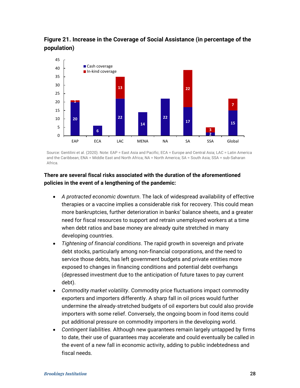**Figure 21. Increase in the Coverage of Social Assistance (in percentage of the population)**



Source: Gentilini et al. (2020). Note: EAP = East Asia and Pacific; ECA = Europe and Central Asia; LAC = Latin America and the Caribbean; ENA = Middle East and North Africa; NA = North America; SA = South Asia; SSA = sub-Saharan Africa.

#### **There are several fiscal risks associated with the duration of the aforementioned policies in the event of a lengthening of the pandemic:**

- *A protracted economic downturn*. The lack of widespread availability of effective therapies or a vaccine implies a considerable risk for recovery. This could mean more bankruptcies, further deterioration in banks' balance sheets, and a greater need for fiscal resources to support and retrain unemployed workers at a time when debt ratios and base money are already quite stretched in many developing countries.
- *Tightening of financial conditions*. The rapid growth in sovereign and private debt stocks, particularly among non-financial corporations, and the need to service those debts, has left government budgets and private entities more exposed to changes in financing conditions and potential debt overhangs (depressed investment due to the anticipation of future taxes to pay current debt).
- *Commodity market volatility*. Commodity price fluctuations impact commodity exporters and importers differently. A sharp fall in oil prices would further undermine the already-stretched budgets of oil exporters but could also provide importers with some relief. Conversely, the ongoing boom in food items could put additional pressure on commodity importers in the developing world.
- *Contingent liabilities.* Although new guarantees remain largely untapped by firms to date, their use of guarantees may accelerate and could eventually be called in the event of a new fall in economic activity, adding to public indebtedness and fiscal needs.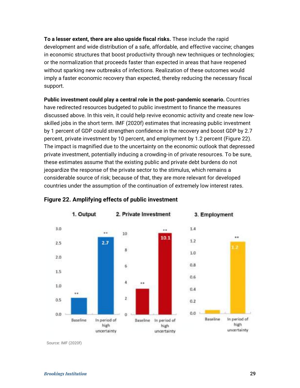**To a lesser extent, there are also upside fiscal risks.** These include the rapid development and wide distribution of a safe, affordable, and effective vaccine; changes in economic structures that boost productivity through new techniques or technologies; or the normalization that proceeds faster than expected in areas that have reopened without sparking new outbreaks of infections. Realization of these outcomes would imply a faster economic recovery than expected, thereby reducing the necessary fiscal support.

**Public investment could play a central role in the post-pandemic scenario.** Countries have redirected resources budgeted to public investment to finance the measures discussed above. In this vein, it could help revive economic activity and create new lowskilled jobs in the short term. IMF (2020f) estimates that increasing public investment by 1 percent of GDP could strengthen confidence in the recovery and boost GDP by 2.7 percent, private investment by 10 percent, and employment by 1.2 percent (Figure 22). The impact is magnified due to the uncertainty on the economic outlook that depressed private investment, potentially inducing a crowding-in of private resources. To be sure, these estimates assume that the existing public and private debt burdens do not jeopardize the response of the private sector to the stimulus, which remains a considerable source of risk; because of that, they are more relevant for developed countries under the assumption of the continuation of extremely low interest rates.







3. Employment

Source: IMF (2020f)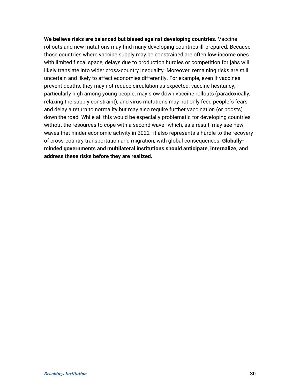**We believe risks are balanced but biased against developing countries.** Vaccine rollouts and new mutations may find many developing countries ill-prepared. Because those countries where vaccine supply may be constrained are often low-income ones with limited fiscal space, delays due to production hurdles or competition for jabs will likely translate into wider cross-country inequality. Moreover, remaining risks are still uncertain and likely to affect economies differently. For example, even if vaccines prevent deaths, they may not reduce circulation as expected; vaccine hesitancy, particularly high among young people, may slow down vaccine rollouts (paradoxically, relaxing the supply constraint); and virus mutations may not only feed people´s fears and delay a return to normality but may also require further vaccination (or boosts) down the road. While all this would be especially problematic for developing countries without the resources to cope with a second wave–which, as a result, may see new waves that hinder economic activity in 2022–it also represents a hurdle to the recovery of cross-country transportation and migration, with global consequences. **Globallyminded governments and multilateral institutions should anticipate, internalize, and address these risks before they are realized.**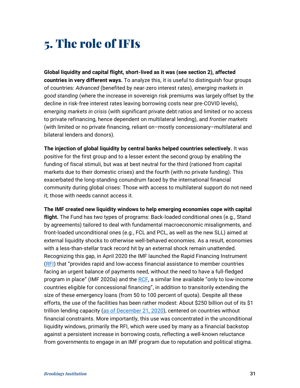# <span id="page-33-0"></span>5. The role of IFIs

**Global liquidity and capital flight, short-lived as it was (see section 2), affected countries in very different ways.** To analyze this, it is useful to distinguish four groups of countries: *Advanced* (benefited by near-zero interest rates), *emerging markets in good standing* (where the increase in sovereign risk premiums was largely offset by the decline in risk-free interest rates leaving borrowing costs near pre-COVID levels), *emerging markets in crisis* (with significant private debt ratios and limited or no access to private refinancing, hence dependent on multilateral lending), and *frontier markets* (with limited or no private financing, reliant on–mostly concessionary–multilateral and bilateral lenders and donors).

**The injection of global liquidity by central banks helped countries selectively.** It was positive for the first group and to a lesser extent the second group by enabling the funding of fiscal stimuli, but was at best neutral for the third (rationed from capital markets due to their domestic crises) and the fourth (with no private funding). This exacerbated the long-standing conundrum faced by the international financial community during global crises: Those with access to multilateral support do not need it; those with needs cannot access it.

**The IMF created new liquidity windows to help emerging economies cope with capital flight.** The Fund has two types of programs: Back-loaded conditional ones (e.g., Stand by agreements) tailored to deal with fundamental macroeconomic misalignments, and front-loaded unconditional ones (e.g., FCL and PCL, as well as the new SLL) aimed at external liquidity shocks to otherwise well-behaved economies. As a result, economies with a less-than-stellar track record hit by an external shock remain unattended. Recognizing this gap, in April 2020 the IMF launched the Rapid Financing Instrument [\(RFI\)](https://www.imf.org/en/About/Factsheets/Sheets/2016/08/02/19/55/Rapid-Financing-Instrument) that "provides rapid and low-access financial assistance to member countries facing an urgent balance of payments need, without the need to have a full-fledged program in place" (IMF 2020a) and the [RCF,](https://www.imf.org/en/News/Articles/2020/10/05/pr20305-imf-executive-board-approves-extension-increased-access-limits-under-rcf-and-rfi) a similar line available "only to low-income countries eligible for concessional financing", in addition to transitorily extending the size of these emergency loans (from 50 to 100 percent of quota). Despite all these efforts, the use of the facilities has been rather modest: About \$250 billion out of its \$1 trillion lending capacity [\(as of December 21, 2020\)](https://www.imf.org/en/Topics/imf-and-covid19/COVID-Lending-Tracker), centered on countries without financial constraints. More importantly, this use was concentrated in the unconditional liquidity windows, primarily the RFI, which were used by many as a financial backstop against a persistent increase in borrowing costs, reflecting a well-known reluctance from governments to engage in an IMF program due to reputation and political stigma.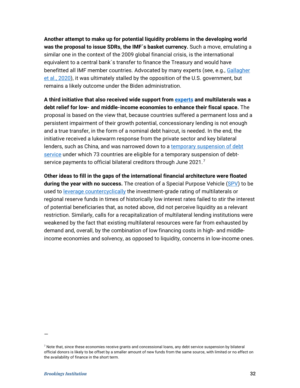**Another attempt to make up for potential liquidity problems in the developing world was the proposal to issue SDRs, the IMF´s basket currency.** Such a move, emulating a similar one in the context of the 2009 global financial crisis, is the international equivalent to a central bank´s transfer to finance the Treasury and would have benefitted all IMF member countries. Advocated by many experts (see, e.g., [Gallagher](https://www.degruyter.com/view/journals/ev/ahead-of-print/article-10.1515-ev-2020-0012/article-10.1515-ev-2020-0012.xml?language=en)  [et al., 2020\)](https://www.degruyter.com/view/journals/ev/ahead-of-print/article-10.1515-ev-2020-0012/article-10.1515-ev-2020-0012.xml?language=en), it was ultimately stalled by the opposition of the U.S. government, but remains a likely outcome under the Biden administration.

**A third initiative that also received wide support from [experts](https://voxeu.org/article/debt-standstill-covid-19-low-and-middle-income-countries) and multilaterals was a debt relief for low- and middle-income economies to enhance their fiscal space.** The proposal is based on the view that, because countries suffered a permanent loss and a persistent impairment of their growth potential, concessionary lending is not enough and a true transfer, in the form of a nominal debt haircut, is needed. In the end, the initiative received a lukewarm response from the private sector and key bilateral lenders, such as China, and was narrowed down to a [temporary suspension of debt](https://www.worldbank.org/en/topic/debt/brief/covid-19-debt-service-suspension-initiative)  [service](https://www.worldbank.org/en/topic/debt/brief/covid-19-debt-service-suspension-initiative) under which 73 countries are eligible for a temporary suspension of debt-service payments to official bilateral creditors through June 2021.<sup>[7](#page-34-0)</sup>

**Other ideas to fill in the gaps of the international financial architecture were floated during the year with no success.** The creation of a Special Purpose Vehicle [\(SPV\)](https://www.project-syndicate.org/commentary/emerging-economies-need-new-finance-not-moratoriums-by-mauricio-cardenas-2020-05?referral=864fd9&barrier=accesspaylog) to be used to [leverage countercyclically](https://voxeu.org/content/undoing-flight-quality-multilateral-countercyclical-liquidity-fund) the investment-grade rating of multilaterals or regional reserve funds in times of historically low interest rates failed to stir the interest of potential beneficiaries that, as noted above, did not perceive liquidity as a relevant restriction. Similarly, calls for a recapitalization of multilateral lending institutions were weakened by the fact that existing multilateral resources were far from exhausted by demand and, overall, by the combination of low financing costs in high- and middleincome economies and solvency, as opposed to liquidity, concerns in low-income ones.

—

<span id="page-34-0"></span> $7$  Note that, since these economies receive grants and concessional loans, any debt service suspension by bilateral official donors is likely to be offset by a smaller amount of new funds from the same source, with limited or no effect on the availability of finance in the short term.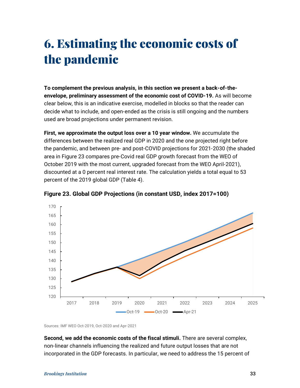# <span id="page-35-0"></span>6. Estimating the economic costs of the pandemic

**To complement the previous analysis, in this section we present a back-of-theenvelope, preliminary assessment of the economic cost of COVID-19.** As will become clear below, this is an indicative exercise, modelled in blocks so that the reader can decide what to include, and open-ended as the crisis is still ongoing and the numbers used are broad projections under permanent revision.

**First, we approximate the output loss over a 10 year window.** We accumulate the differences between the realized real GDP in 2020 and the one projected right before the pandemic, and between pre- and post-COVID projections for 2021-2030 (the shaded area in Figure 23 compares pre-Covid real GDP growth forecast from the WEO of October 2019 with the most current, upgraded forecast from the WEO April-2021), discounted at a 0 percent real interest rate. The calculation yields a total equal to 53 percent of the 2019 global GDP (Table 4).



**Figure 23. Global GDP Projections (in constant USD, index 2017=100)**

Sources: IMF WEO Oct-2019, Oct-2020 and Apr-2021

**Second, we add the economic costs of the fiscal stimuli.** There are several complex, non-linear channels influencing the realized and future output losses that are not incorporated in the GDP forecasts. In particular, we need to address the 15 percent of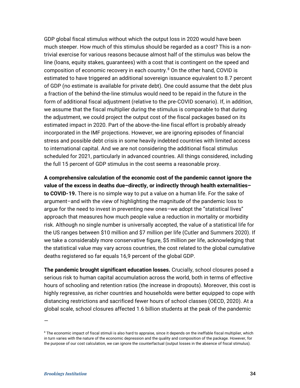GDP global fiscal stimulus without which the output loss in 2020 would have been much steeper. How much of this stimulus should be regarded as a cost? This is a nontrivial exercise for various reasons because almost half of the stimulus was below the line (loans, equity stakes, guarantees) with a cost that is contingent on the speed and composition of economic recovery in each country. $8$  On the other hand, COVID is estimated to have triggered an additional sovereign issuance equivalent to 8.7 percent of GDP (no estimate is available for private debt). One could assume that the debt plus a fraction of the behind-the-line stimulus would need to be repaid in the future in the form of additional fiscal adjustment (relative to the pre-COVID scenario). If, in addition, we assume that the fiscal multiplier during the stimulus is comparable to that during the adjustment, we could project the output cost of the fiscal packages based on its estimated impact in 2020. Part of the above-the-line fiscal effort is probably already incorporated in the IMF projections. However, we are ignoring episodes of financial stress and possible debt crisis in some heavily indebted countries with limited access to international capital. And we are not considering the additional fiscal stimulus scheduled for 2021, particularly in advanced countries. All things considered, including the full 15 percent of GDP stimulus in the cost seems a reasonable proxy.

**A comprehensive calculation of the economic cost of the pandemic cannot ignore the value of the excess in deaths due–directly, or indirectly through health externalities– to COVID-19.** There is no simple way to put a value on a human life. For the sake of argument–and with the view of highlighting the magnitude of the pandemic loss to argue for the need to invest in preventing new ones–we adopt the "statistical lives" approach that measures how much people value a reduction in mortality or morbidity risk. Although no single number is universally accepted, the value of a statistical life for the US ranges between \$10 million and \$7 million per life (Cutler and Summers 2020). If we take a considerably more conservative figure, \$5 million per life, acknowledging that the statistical value may vary across countries, the cost related to the global cumulative deaths registered so far equals 16,9 percent of the global GDP.

**The pandemic brought significant education losses.** Crucially, school closures posed a serious risk to human capital accumulation across the world, both in terms of effective hours of schooling and retention ratios (the increase in dropouts). Moreover, this cost is highly regressive, as richer countries and households were better equipped to cope with distancing restrictions and sacrificed fewer hours of school classes (OECD, 2020). At a global scale, school closures affected 1.6 billion students at the peak of the pandemic

—

<span id="page-36-0"></span><sup>&</sup>lt;sup>8</sup> The economic impact of fiscal stimuli is also hard to appraise, since it depends on the ineffable fiscal multiplier, which in turn varies with the nature of the economic depression and the quality and composition of the package. However, for the purpose of our cost calculation, we can ignore the counterfactual (output losses in the absence of fiscal stimulus).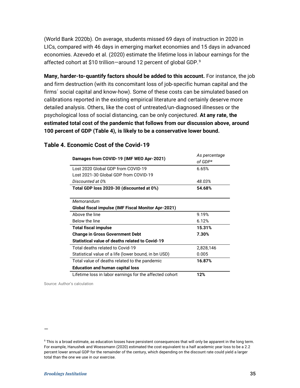(World Bank 2020b). On average, students missed 69 days of instruction in 2020 in LICs, compared with 46 days in emerging market economies and 15 days in advanced economies. Azevedo et al. (2020) estimate the lifetime loss in labour earnings for the affected cohort at \$10 trillion-around 12 percent of global GDP.<sup>[9](#page-37-1)</sup>

**Many, harder-to-quantify factors should be added to this account.** For instance, the job and firm destruction (with its concomitant loss of job-specific human capital and the firms´ social capital and know-how). Some of these costs can be simulated based on calibrations reported in the existing empirical literature and certainly deserve more detailed analysis. Others, like the cost of untreated/un-diagnosed illnesses or the psychological loss of social distancing, can be only conjectured. **At any rate, the estimated total cost of the pandemic that follows from our discussion above, around 100 percent of GDP (Table 4), is likely to be a conservative lower bound.**

| Damages from COVID-19 (IMF WEO Apr-2021)                | As percentage<br>of GDP* |  |  |
|---------------------------------------------------------|--------------------------|--|--|
|                                                         |                          |  |  |
| Lost 2020 Global GDP from COVID-19                      | 6.65%                    |  |  |
| Lost 2021-30 Global GDP from COVID-19                   |                          |  |  |
| Discounted at 0%                                        | 48.03%                   |  |  |
| Total GDP loss 2020-30 (discounted at 0%)               | 54.68%                   |  |  |
|                                                         |                          |  |  |
| Memorandum                                              |                          |  |  |
| Global fiscal impulse (IMF Fiscal Monitor Apr-2021)     |                          |  |  |
| Above the line                                          | 9.19%                    |  |  |
| Below the line                                          | 6.12%                    |  |  |
| <b>Total fiscal impulse</b>                             | 15.31%                   |  |  |
| <b>Change in Gross Government Debt</b>                  | 7.30%                    |  |  |
| Statistical value of deaths related to Covid-19         |                          |  |  |
| Total deaths related to Covid-19                        | 2,828,146                |  |  |
| Statistical value of a life (lower bound, in bn USD)    | 0.005                    |  |  |
| Total value of deaths related to the pandemic           | 16.87%                   |  |  |
| <b>Education and human capital loss</b>                 |                          |  |  |
| Lifetime loss in labor earnings for the affected cohort | 12%                      |  |  |

#### <span id="page-37-0"></span>**Table 4. Economic Cost of the Covid-19**

Source: Author's calculation

<sup>—</sup>

<span id="page-37-1"></span><sup>&</sup>lt;sup>9</sup> This is a broad estimate, as education losses have persistent consequences that will only be apparent in the long term. For example, Hanushek and Woessmann (2020) estimated the cost equivalent to a half academic year loss to be a 2.2 percent lower annual GDP for the remainder of the century, which depending on the discount rate could yield a larger total than the one we use in our exercise.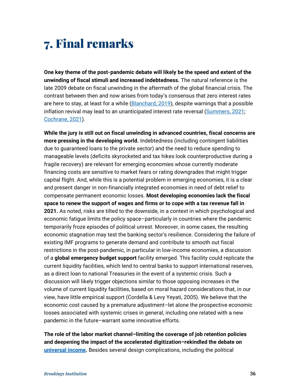# <span id="page-38-0"></span>7. Final remarks

**One key theme of the post-pandemic debate will likely be the speed and extent of the unwinding of fiscal stimuli and increased indebtedness.** The natural reference is the late 2009 debate on fiscal unwinding in the aftermath of the global financial crisis. The contrast between then and now arises from today's consensus that zero interest rates are here to stay, at least for a while [\(Blanchard, 2019\)](https://www.aeaweb.org/articles?id=10.1257/aer.109.4.1197), despite warnings that a possible inflation revival may lead to an unanticipated interest rate reversal [\(Summers,](https://www.washingtonpost.com/opinions/2021/02/04/larry-summers-biden-covid-stimulus/) 2021; [Cochrane, 2021\)](https://www.nationalaffairs.com/publications/detail/inflation-and-debt).

**While the jury is still out on fiscal unwinding in advanced countries, fiscal concerns are more pressing in the developing world.** Indebtedness (including contingent liabilities due to guaranteed loans to the private sector) and the need to reduce spending to manageable levels (deficits skyrocketed and tax hikes look counterproductive during a fragile recovery) are relevant for emerging economies whose currently moderate financing costs are sensitive to market fears or rating downgrades that might trigger capital flight. And, while this is a potential problem in emerging economies, it is a clear and present danger in non-financially integrated economies in need of debt relief to compensate permanent economic losses. **Most developing economies lack the fiscal space to renew the support of wages and firms or to cope with a tax revenue fall in 2021.** As noted, risks are tilted to the downside, in a context in which psychological and economic fatigue limits the policy space–particularly in countries where the pandemic temporarily froze episodes of political unrest. Moreover, in some cases, the resulting economic stagnation may test the banking sector's resilience. Considering the failure of existing IMF programs to generate demand and contribute to smooth out fiscal restrictions in the post-pandemic, in particular in low-income economies, a discussion of a **global emergency budget support** facility emerged. This facility could replicate the current liquidity facilities, which lend to central banks to support international reserves, as a direct loan to national Treasuries in the event of a systemic crisis. Such a discussion will likely trigger objections similar to those opposing increases in the volume of current liquidity facilities, based on moral hazard considerations that, in our view, have little empirical support (Cordella & Levy Yeyati, 2005). We believe that the economic cost caused by a premature adjustment–let alone the prospective economic losses associated with systemic crises in general, including one related with a new pandemic in the future–warrant some innovative efforts.

**The role of the labor market channel–limiting the coverage of job retention policies and deepening the impact of the accelerated digitization–rekindled the debate on [universal income.](http://documents1.worldbank.org/curated/en/993911574784667955/pdf/Exploring-Universal-Basic-Income-A-Guide-to-Navigating-Concepts-Evidence-and-Practices.pdf)** Besides several design complications, including the political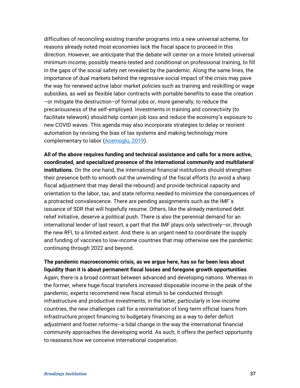difficulties of reconciling existing transfer programs into a new universal scheme, for reasons already noted most economies lack the fiscal space to proceed in this direction. However, we anticipate that the debate will center on a more limited universal minimum income, possibly means-tested and conditional on professional training, to fill in the gaps of the social safety net revealed by the pandemic. Along the same lines, the importance of dual markets behind the regressive social impact of the crisis may pave the way for renewed active labor market policies such as training and reskilling or wage subsidies, as well as flexible labor contracts with portable benefits to ease the creation –or mitigate the destruction–of formal jobs or, more generally, to reduce the precariousness of the self-employed. Investments in training and connectivity (to facilitate telework) should help contain job loss and reduce the economy's exposure to new COVID waves. This agenda may also incorporate strategies to delay or reorient automation by revising the bias of tax systems and making technology more complementary to labor [\(Acemoglu, 2019\)](https://econfip.org/policy-brief/its-good-jobs-stupid/).

**All of the above requires funding and technical assistance and calls for a more active, coordinated, and specialized presence of the international community and multilateral institutions.** On the one hand, the international financial institutions should strengthen their presence both to smooth out the unwinding of the fiscal efforts (to avoid a sharp fiscal adjustment that may derail the rebound) and provide technical capacity and orientation to the labor, tax, and state reforms needed to minimize the consequences of a protracted convalescence. There are pending assignments such as the IMF´s issuance of SDR that will hopefully resume. Others, like the already mentioned debt relief initiative, deserve a political push. There is also the perennial demand for an international lender of last resort, a part that the IMF plays only selectively–or, through the new RFI, to a limited extent. And there is an urgent need to coordinate the supply and funding of vaccines to low-income countries that may otherwise see the pandemic continuing through 2022 and beyond.

**The pandemic macroeconomic crisis, as we argue here, has so far been less about liquidity than it is about permanent fiscal losses and foregone growth opportunities**. Again, there is a broad contrast between advanced and developing nations. Whereas in the former, where huge fiscal transfers *increased* disposable income in the peak of the pandemic, experts recommend new fiscal stimuli to be conducted through infrastructure and productive investments, in the latter, particularly in low-income countries, the new challenges call for a reorientation of long-term official loans from infrastructure project financing to budgetary financing as a way to defer deficit adjustment and foster reforms–a tidal change in the way the international financial community approaches the developing world. As such, it offers the perfect opportunity to reassess how we conceive international cooperation.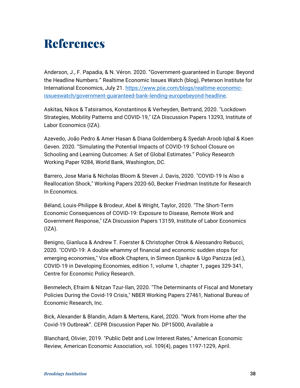# <span id="page-40-0"></span>References

Anderson, J., F. Papadia, & N. Véron. 2020. "Government-guaranteed in Europe: Beyond the Headline Numbers." Realtime Economic Issues Watch (blog), Peterson Institute for International Economics, July 21. [https://www.piie.com/blogs/realtime-economic](https://www.piie.com/blogs/realtime-economic-issueswatch/government-guaranteed-bank-lending-europebeyond-headline)[issueswatch/government-guaranteed-bank-lending-europebeyond-headline.](https://www.piie.com/blogs/realtime-economic-issueswatch/government-guaranteed-bank-lending-europebeyond-headline)

Askitas, Nikos & Tatsiramos, Konstantinos & Verheyden, Bertrand, 2020. "Lockdown Strategies, Mobility Patterns and COVID-19," IZA Discussion Papers 13293, Institute of Labor Economics (IZA).

Azevedo, João Pedro & Amer Hasan & Diana Goldemberg & Syedah Aroob Iqbal & Koen Geven. 2020. "Simulating the Potential Impacts of COVID-19 School Closure on Schooling and Learning Outcomes: A Set of Global Estimates." Policy Research Working Paper 9284, World Bank, Washington, DC.

Barrero, Jose Maria & Nicholas Bloom & Steven J. Davis, 2020. "COVID-19 Is Also a Reallocation Shock," Working Papers 2020-60, Becker Friedman Institute for Research In Economics.

Béland, Louis-Philippe & Brodeur, Abel & Wright, Taylor, 2020. "The Short-Term Economic Consequences of COVID-19: Exposure to Disease, Remote Work and Government Response," IZA Discussion Papers 13159, Institute of Labor Economics  $(IZA)$ .

Benigno, Gianluca & Andrew T. Foerster & Christopher Otrok & Alessandro Rebucci, 2020. "COVID-19: A double whammy of financial and economic sudden stops for emerging economies," Vox eBook Chapters, in Simeon Djankov & Ugo Panizza (ed.), COVID-19 in Developing Economies, edition 1, volume 1, chapter 1, pages 329-341, Centre for Economic Policy Research.

Benmelech, Efraim & Nitzan Tzur-Ilan, 2020. "The Determinants of Fiscal and Monetary Policies During the Covid-19 Crisis," NBER Working Papers 27461, National Bureau of Economic Research, Inc.

Bick, Alexander & Blandin, Adam & Mertens, Karel, 2020. "Work from Home after the Covid-19 Outbreak". CEPR Discussion Paper No. DP15000, Available a

Blanchard, Olivier, 2019. "Public Debt and Low Interest Rates," American Economic Review, American Economic Association, vol. 109(4), pages 1197-1229, April.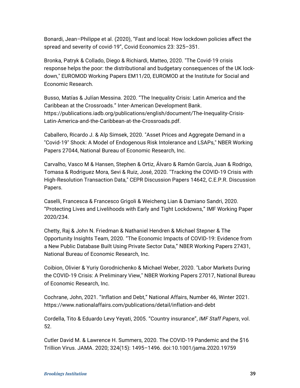Bonardi, Jean–Philippe et al. (2020), "Fast and local: How lockdown policies affect the spread and severity of covid-19", Covid Economics 23: 325–351.

Bronka, Patryk & Collado, Diego & Richiardi, Matteo, 2020. "The Covid-19 crisis response helps the poor: the distributional and budgetary consequences of the UK lockdown," EUROMOD Working Papers EM11/20, EUROMOD at the Institute for Social and Economic Research.

Busso, Matías & Julían Messina. 2020. "The Inequality Crisis: Latin America and the Caribbean at the Crossroads." Inter-American Development Bank. https://publications.iadb.org/publications/english/document/The-Inequality-Crisis-Latin-America-and-the-Caribbean-at-the-Crossroads.pdf.

Caballero, Ricardo J. & Alp Simsek, 2020. "Asset Prices and Aggregate Demand in a "Covid-19" Shock: A Model of Endogenous Risk Intolerance and LSAPs," NBER Working Papers 27044, National Bureau of Economic Research, Inc.

Carvalho, Vasco M & Hansen, Stephen & Ortiz, Álvaro & Ramón García, Juan & Rodrigo, Tomasa & Rodriguez Mora, Sevi & Ruiz, José, 2020. "Tracking the COVID-19 Crisis with High-Resolution Transaction Data," CEPR Discussion Papers 14642, C.E.P.R. Discussion Papers.

Caselli, Francesca & Francesco Grigoli & Weicheng Lian & Damiano Sandri, 2020. "Protecting Lives and Livelihoods with Early and Tight Lockdowns," IMF Working Paper 2020/234.

Chetty, Raj & John N. Friedman & Nathaniel Hendren & Michael Stepner & The Opportunity Insights Team, 2020. "The Economic Impacts of COVID-19: Evidence from a New Public Database Built Using Private Sector Data," NBER Working Papers 27431, National Bureau of Economic Research, Inc.

Coibion, Olivier & Yuriy Gorodnichenko & Michael Weber, 2020. "Labor Markets During the COVID-19 Crisis: A Preliminary View," NBER Working Papers 27017, National Bureau of Economic Research, Inc.

Cochrane, John, 2021. "Inflation and Debt," National Affairs, Number 46, Winter 2021. https://www.nationalaffairs.com/publications/detail/inflation-and-debt

Cordella, Tito & Eduardo Levy Yeyati, 2005. "Country insurance", *IMF Staff Papers*, vol. 52.

Cutler David M. & Lawrence H. Summers, 2020. The COVID-19 Pandemic and the \$16 Trillion Virus. JAMA. 2020; 324(15): 1495–1496. doi:10.1001/jama.2020.19759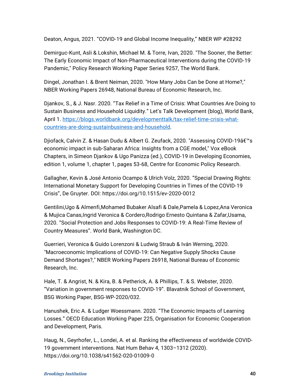Deaton, Angus, 2021. "COVID-19 and Global Income Inequality," NBER WP #28292

Demirguc-Kunt, Asli & Lokshin, Michael M. & Torre, Ivan, 2020. "The Sooner, the Better: The Early Economic Impact of Non-Pharmaceutical Interventions during the COVID-19 Pandemic," Policy Research Working Paper Series 9257, The World Bank.

Dingel, Jonathan I. & Brent Neiman, 2020. "How Many Jobs Can be Done at Home?," NBER Working Papers 26948, National Bureau of Economic Research, Inc.

Djankov, S., & J. Nasr. 2020. "Tax Relief in a Time of Crisis: What Countries Are Doing to Sustain Business and Household Liquidity." Let's Talk Development (blog), World Bank, April 1. [https://blogs.worldbank.org/developmenttalk/tax-relief-time-crisis-what](https://blogs.worldbank.org/developmenttalk/tax-relief-time-crisis-what-countries-are-doing-sustainbusiness-and-household)[countries-are-doing-sustainbusiness-and-household.](https://blogs.worldbank.org/developmenttalk/tax-relief-time-crisis-what-countries-are-doing-sustainbusiness-and-household)

Djiofack, Calvin Z. & Hasan Dudu & Albert G. Zeufack, 2020. "Assessing COVID-19â€<sup>™</sup>s economic impact in sub-Saharan Africa: Insights from a CGE model," Vox eBook Chapters, in Simeon Djankov & Ugo Panizza (ed.), COVID-19 in Developing Economies, edition 1, volume 1, chapter 1, pages 53-68, Centre for Economic Policy Research.

Gallagher, Kevin & José Antonio Ocampo & Ulrich Volz, 2020. "Special Drawing Rights: International Monetary Support for Developing Countries in Times of the COVID-19 Crisis", De Gruyter. DOI: https://doi.org/10.1515/ev-2020-0012

Gentilini,Ugo & Almenfi,Mohamed Bubaker Alsafi & Dale,Pamela & Lopez,Ana Veronica & Mujica Canas,Ingrid Veronica & Cordero,Rodrigo Ernesto Quintana & Zafar,Usama, 2020. "Social Protection and Jobs Responses to COVID-19: A Real-Time Review of Country Measures". World Bank, Washington DC.

Guerrieri, Veronica & Guido Lorenzoni & Ludwig Straub & Iván Werning, 2020. "Macroeconomic Implications of COVID-19: Can Negative Supply Shocks Cause Demand Shortages?," NBER Working Papers 26918, National Bureau of Economic Research, Inc.

Hale, T. & Angrist, N. & Kira, B. & Petherick, A. & Phillips, T. & S. Webster, 2020. "Variation in government responses to COVID-19". Blavatnik School of Government, BSG Working Paper, BSG-WP-2020/032.

Hanushek, Eric A. & Ludger Woessmann. 2020. "The Economic Impacts of Learning Losses." OECD Education Working Paper 225, Organisation for Economic Cooperation and Development, Paris.

Haug, N., Geyrhofer, L., Londei, A. et al. Ranking the effectiveness of worldwide COVID-19 government interventions. Nat Hum Behav 4, 1303–1312 (2020). https://doi.org/10.1038/s41562-020-01009-0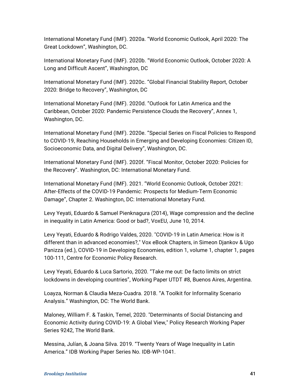International Monetary Fund (IMF). 2020a. "World Economic Outlook, April 2020: The Great Lockdown", Washington, DC.

International Monetary Fund (IMF). 2020b. "World Economic Outlook, October 2020: A Long and Difficult Ascent", Washington, DC

International Monetary Fund (IMF). 2020c. "Global Financial Stability Report, October 2020: Bridge to Recovery", Washington, DC

International Monetary Fund (IMF). 2020d. "Outlook for Latin America and the Caribbean, October 2020: Pandemic Persistence Clouds the Recovery", Annex 1, Washington, DC.

International Monetary Fund (IMF). 2020e. "Special Series on Fiscal Policies to Respond to COVID-19, Reaching Households in Emerging and Developing Economies: Citizen ID, Socioeconomic Data, and Digital Delivery", Washington, DC.

International Monetary Fund (IMF). 2020f. "Fiscal Monitor, October 2020: Policies for the Recovery". Washington, DC: International Monetary Fund.

International Monetary Fund (IMF). 2021. "World Economic Outlook, October 2021: After-Effects of the COVID-19 Pandemic: Prospects for Medium-Term Economic Damage", Chapter 2. Washington, DC: International Monetary Fund.

Levy Yeyati, Eduardo & Samuel Pienknagura (2014), Wage compression and the decline in inequality in Latin America: Good or bad?, VoxEU, June 10, 2014.

Levy Yeyati, Eduardo & Rodrigo Valdes, 2020. "COVID-19 in Latin America: How is it different than in advanced economies?," Vox eBook Chapters, in Simeon Djankov & Ugo Panizza (ed.), COVID-19 in Developing Economies, edition 1, volume 1, chapter 1, pages 100-111, Centre for Economic Policy Research.

Levy Yeyati, Eduardo & Luca Sartorio, 2020. "Take me out: De facto limits on strict lockdowns in developing countries", Working Paper UTDT #8, Buenos Aires, Argentina.

Loayza, Norman & Claudia Meza-Cuadra. 2018. "A Toolkit for Informality Scenario Analysis." Washington, DC: The World Bank.

Maloney, William F. & Taskin, Temel, 2020. "Determinants of Social Distancing and Economic Activity during COVID-19: A Global View," Policy Research Working Paper Series 9242, The World Bank.

Messina, Julían, & Joana Silva. 2019. "Twenty Years of Wage Inequality in Latin America." IDB Working Paper Series No. IDB-WP-1041.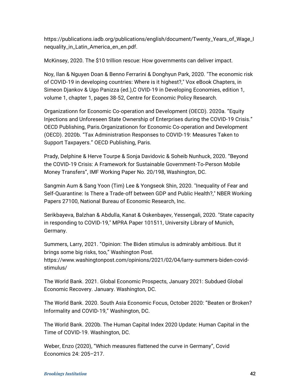https://publications.iadb.org/publications/english/document/Twenty\_Years\_of\_Wage\_I nequality\_in\_Latin\_America\_en\_en.pdf.

McKinsey, 2020. The \$10 trillion rescue: How governments can deliver impact.

Noy, Ilan & Nguyen Doan & Benno Ferrarini & Donghyun Park, 2020. "The economic risk of COVID-19 in developing countries: Where is it highest?," Vox eBook Chapters, in Simeon Djankov & Ugo Panizza (ed.),C OVID-19 in Developing Economies, edition 1, volume 1, chapter 1, pages 38-52, Centre for Economic Policy Research.

Organizationn for Economic Co-operation and Development (OECD). 2020a. "Equity Injections and Unforeseen State Ownership of Enterprises during the COVID-19 Crisis." OECD Publishing, Paris.Organizationon for Economic Co-operation and Development (OECD). 2020b. "Tax Administration Responses to COVID-19: Measures Taken to Support Taxpayers." OECD Publishing, Paris.

Prady, Delphine & Herve Tourpe & Sonja Davidovic & Soheib Nunhuck, 2020. "Beyond the COVID-19 Crisis: A Framework for Sustainable Government-To-Person Mobile Money Transfers", IMF Working Paper No. 20/198, Washington, DC.

Sangmin Aum & Sang Yoon (Tim) Lee & Yongseok Shin, 2020. "Inequality of Fear and Self-Quarantine: Is There a Trade-off between GDP and Public Health?," NBER Working Papers 27100, National Bureau of Economic Research, Inc.

Serikbayeva, Balzhan & Abdulla, Kanat & Oskenbayev, Yessengali, 2020. "State capacity in responding to COVID-19," MPRA Paper 101511, University Library of Munich, Germany.

Summers, Larry, 2021. "Opinion: The Biden stimulus is admirably ambitious. But it brings some big risks, too," Washington Post. https://www.washingtonpost.com/opinions/2021/02/04/larry-summers-biden-covidstimulus/

The World Bank. 2021. Global Economic Prospects, January 2021: Subdued Global Economic Recovery. January. Washington, DC.

The World Bank. 2020. South Asia Economic Focus, October 2020: "Beaten or Broken? Informality and COVID-19," Washington, DC.

The World Bank. 2020b. The Human Capital Index 2020 Update: Human Capital in the Time of COVID-19. Washington, DC.

Weber, Enzo (2020), "Which measures flattened the curve in Germany", Covid Economics 24: 205–217.